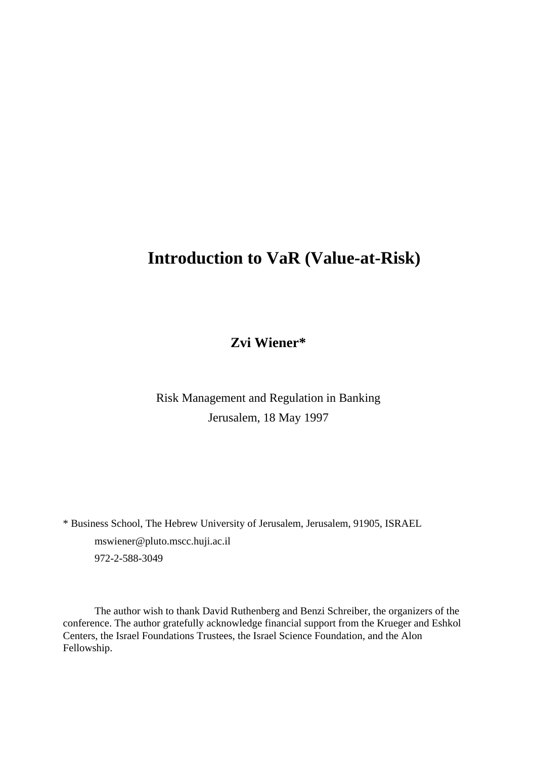# **Introduction to VaR (Value-at-Risk)**

**Zvi Wiener\*** 

Risk Management and Regulation in Banking Jerusalem, 18 May 1997

\* Business School, The Hebrew University of Jerusalem, Jerusalem, 91905, ISRAEL mswiener@pluto.mscc.huji.ac.il 972-2-588-3049

 The author wish to thank David Ruthenberg and Benzi Schreiber, the organizers of the conference. The author gratefully acknowledge financial support from the Krueger and Eshkol Centers, the Israel Foundations Trustees, the Israel Science Foundation, and the Alon Fellowship.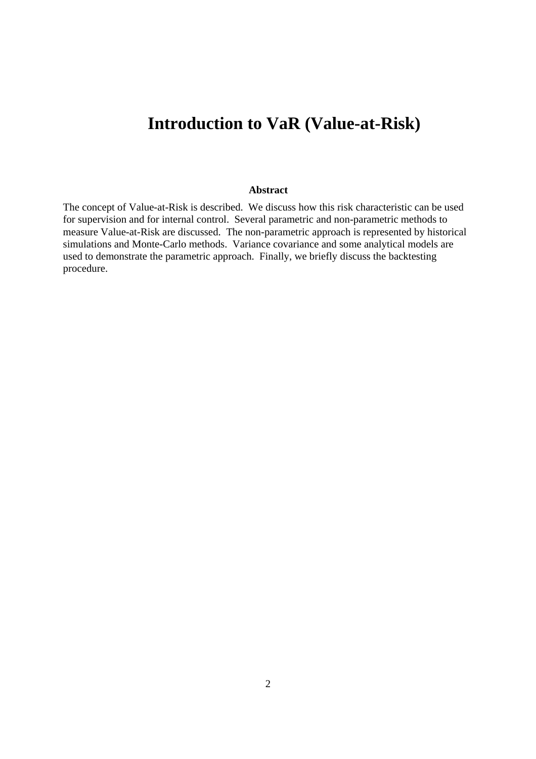# **Introduction to VaR (Value-at-Risk)**

#### **Abstract**

The concept of Value-at-Risk is described. We discuss how this risk characteristic can be used for supervision and for internal control. Several parametric and non-parametric methods to measure Value-at-Risk are discussed. The non-parametric approach is represented by historical simulations and Monte-Carlo methods. Variance covariance and some analytical models are used to demonstrate the parametric approach. Finally, we briefly discuss the backtesting procedure.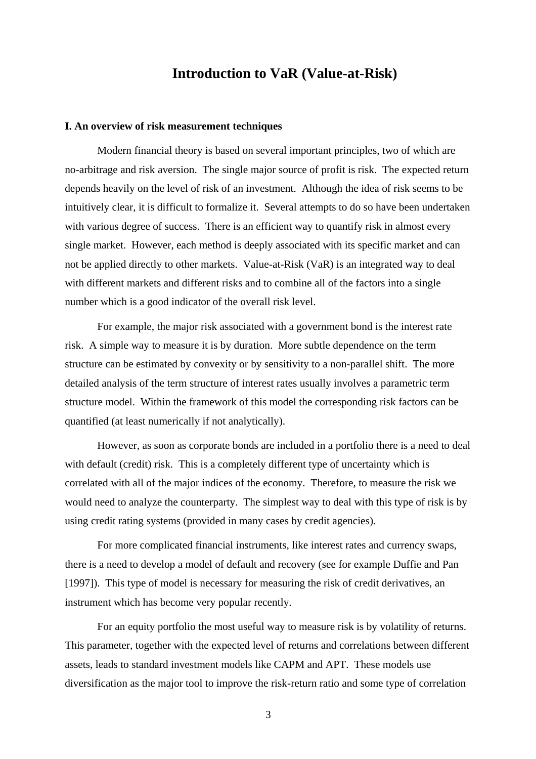# **Introduction to VaR (Value-at-Risk)**

#### **I. An overview of risk measurement techniques**

Modern financial theory is based on several important principles, two of which are no-arbitrage and risk aversion. The single major source of profit is risk. The expected return depends heavily on the level of risk of an investment. Although the idea of risk seems to be intuitively clear, it is difficult to formalize it. Several attempts to do so have been undertaken with various degree of success. There is an efficient way to quantify risk in almost every single market. However, each method is deeply associated with its specific market and can not be applied directly to other markets. Value-at-Risk (VaR) is an integrated way to deal with different markets and different risks and to combine all of the factors into a single number which is a good indicator of the overall risk level.

For example, the major risk associated with a government bond is the interest rate risk. A simple way to measure it is by duration. More subtle dependence on the term structure can be estimated by convexity or by sensitivity to a non-parallel shift. The more detailed analysis of the term structure of interest rates usually involves a parametric term structure model. Within the framework of this model the corresponding risk factors can be quantified (at least numerically if not analytically).

However, as soon as corporate bonds are included in a portfolio there is a need to deal with default (credit) risk. This is a completely different type of uncertainty which is correlated with all of the major indices of the economy. Therefore, to measure the risk we would need to analyze the counterparty. The simplest way to deal with this type of risk is by using credit rating systems (provided in many cases by credit agencies).

For more complicated financial instruments, like interest rates and currency swaps, there is a need to develop a model of default and recovery (see for example Duffie and Pan [1997]). This type of model is necessary for measuring the risk of credit derivatives, an instrument which has become very popular recently.

For an equity portfolio the most useful way to measure risk is by volatility of returns. This parameter, together with the expected level of returns and correlations between different assets, leads to standard investment models like CAPM and APT. These models use diversification as the major tool to improve the risk-return ratio and some type of correlation

3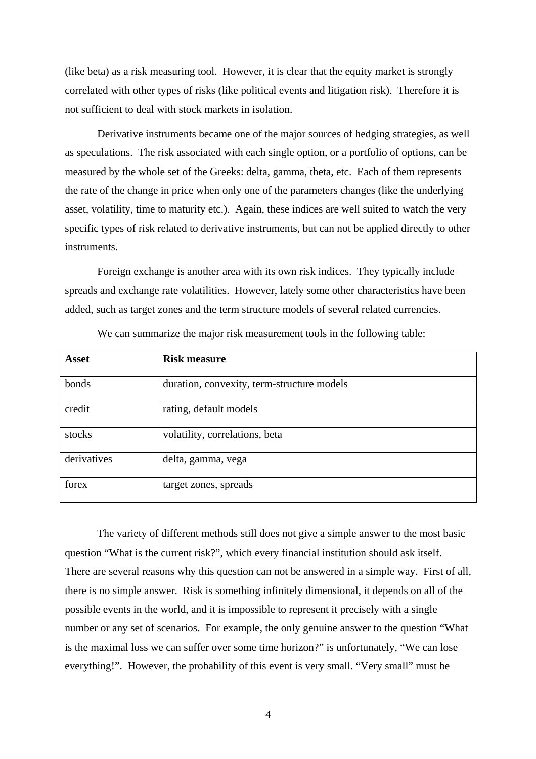(like beta) as a risk measuring tool. However, it is clear that the equity market is strongly correlated with other types of risks (like political events and litigation risk). Therefore it is not sufficient to deal with stock markets in isolation.

Derivative instruments became one of the major sources of hedging strategies, as well as speculations. The risk associated with each single option, or a portfolio of options, can be measured by the whole set of the Greeks: delta, gamma, theta, etc. Each of them represents the rate of the change in price when only one of the parameters changes (like the underlying asset, volatility, time to maturity etc.). Again, these indices are well suited to watch the very specific types of risk related to derivative instruments, but can not be applied directly to other instruments.

Foreign exchange is another area with its own risk indices. They typically include spreads and exchange rate volatilities. However, lately some other characteristics have been added, such as target zones and the term structure models of several related currencies.

| <b>Asset</b> | <b>Risk measure</b>                        |
|--------------|--------------------------------------------|
| bonds        | duration, convexity, term-structure models |
| credit       | rating, default models                     |
| stocks       | volatility, correlations, beta             |
| derivatives  | delta, gamma, vega                         |
| forex        | target zones, spreads                      |

We can summarize the major risk measurement tools in the following table:

The variety of different methods still does not give a simple answer to the most basic question "What is the current risk?", which every financial institution should ask itself. There are several reasons why this question can not be answered in a simple way. First of all, there is no simple answer. Risk is something infinitely dimensional, it depends on all of the possible events in the world, and it is impossible to represent it precisely with a single number or any set of scenarios. For example, the only genuine answer to the question "What is the maximal loss we can suffer over some time horizon?" is unfortunately, "We can lose everything!". However, the probability of this event is very small. "Very small" must be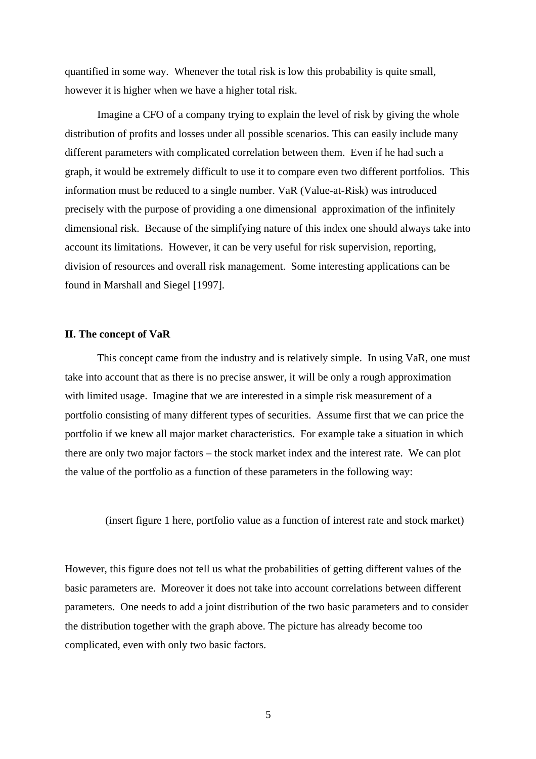quantified in some way. Whenever the total risk is low this probability is quite small, however it is higher when we have a higher total risk.

Imagine a CFO of a company trying to explain the level of risk by giving the whole distribution of profits and losses under all possible scenarios. This can easily include many different parameters with complicated correlation between them. Even if he had such a graph, it would be extremely difficult to use it to compare even two different portfolios. This information must be reduced to a single number. VaR (Value-at-Risk) was introduced precisely with the purpose of providing a one dimensional approximation of the infinitely dimensional risk. Because of the simplifying nature of this index one should always take into account its limitations. However, it can be very useful for risk supervision, reporting, division of resources and overall risk management. Some interesting applications can be found in Marshall and Siegel [1997].

### **II. The concept of VaR**

This concept came from the industry and is relatively simple. In using VaR, one must take into account that as there is no precise answer, it will be only a rough approximation with limited usage. Imagine that we are interested in a simple risk measurement of a portfolio consisting of many different types of securities. Assume first that we can price the portfolio if we knew all major market characteristics. For example take a situation in which there are only two major factors – the stock market index and the interest rate. We can plot the value of the portfolio as a function of these parameters in the following way:

(insert figure 1 here, portfolio value as a function of interest rate and stock market)

However, this figure does not tell us what the probabilities of getting different values of the basic parameters are. Moreover it does not take into account correlations between different parameters. One needs to add a joint distribution of the two basic parameters and to consider the distribution together with the graph above. The picture has already become too complicated, even with only two basic factors.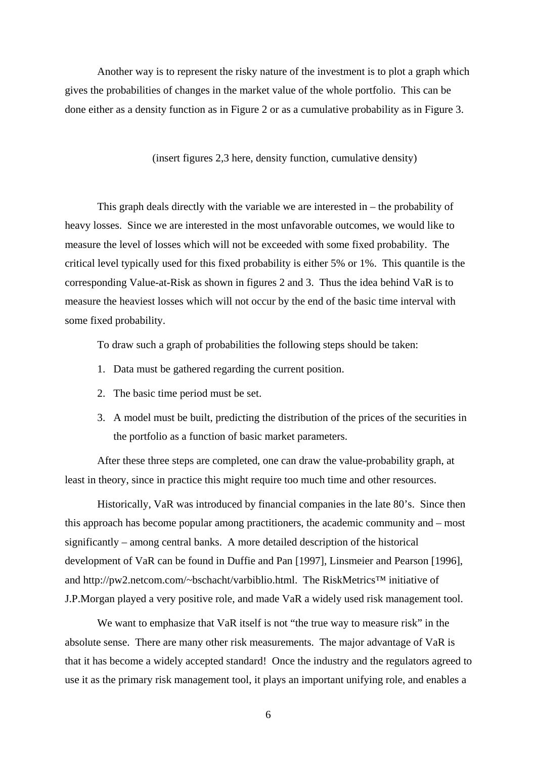Another way is to represent the risky nature of the investment is to plot a graph which gives the probabilities of changes in the market value of the whole portfolio. This can be done either as a density function as in Figure 2 or as a cumulative probability as in Figure 3.

(insert figures 2,3 here, density function, cumulative density)

This graph deals directly with the variable we are interested in – the probability of heavy losses. Since we are interested in the most unfavorable outcomes, we would like to measure the level of losses which will not be exceeded with some fixed probability. The critical level typically used for this fixed probability is either 5% or 1%. This quantile is the corresponding Value-at-Risk as shown in figures 2 and 3. Thus the idea behind VaR is to measure the heaviest losses which will not occur by the end of the basic time interval with some fixed probability.

To draw such a graph of probabilities the following steps should be taken:

- 1. Data must be gathered regarding the current position.
- 2. The basic time period must be set.
- 3. A model must be built, predicting the distribution of the prices of the securities in the portfolio as a function of basic market parameters.

After these three steps are completed, one can draw the value-probability graph, at least in theory, since in practice this might require too much time and other resources.

Historically, VaR was introduced by financial companies in the late 80's. Since then this approach has become popular among practitioners, the academic community and – most significantly – among central banks. A more detailed description of the historical development of VaR can be found in Duffie and Pan [1997], Linsmeier and Pearson [1996], and http://pw2.netcom.com/~bschacht/varbiblio.html. The RiskMetrics™ initiative of J.P.Morgan played a very positive role, and made VaR a widely used risk management tool.

We want to emphasize that VaR itself is not "the true way to measure risk" in the absolute sense. There are many other risk measurements. The major advantage of VaR is that it has become a widely accepted standard! Once the industry and the regulators agreed to use it as the primary risk management tool, it plays an important unifying role, and enables a

6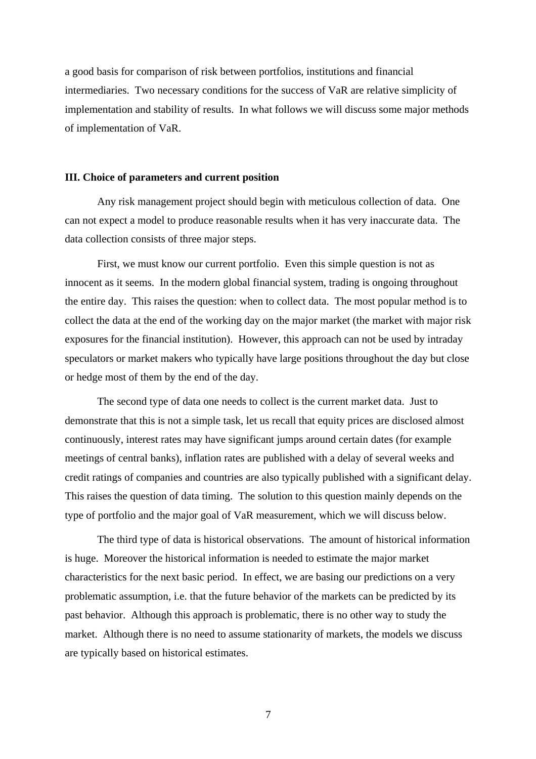a good basis for comparison of risk between portfolios, institutions and financial intermediaries. Two necessary conditions for the success of VaR are relative simplicity of implementation and stability of results. In what follows we will discuss some major methods of implementation of VaR.

#### **III. Choice of parameters and current position**

Any risk management project should begin with meticulous collection of data. One can not expect a model to produce reasonable results when it has very inaccurate data. The data collection consists of three major steps.

First, we must know our current portfolio. Even this simple question is not as innocent as it seems. In the modern global financial system, trading is ongoing throughout the entire day. This raises the question: when to collect data. The most popular method is to collect the data at the end of the working day on the major market (the market with major risk exposures for the financial institution). However, this approach can not be used by intraday speculators or market makers who typically have large positions throughout the day but close or hedge most of them by the end of the day.

The second type of data one needs to collect is the current market data. Just to demonstrate that this is not a simple task, let us recall that equity prices are disclosed almost continuously, interest rates may have significant jumps around certain dates (for example meetings of central banks), inflation rates are published with a delay of several weeks and credit ratings of companies and countries are also typically published with a significant delay. This raises the question of data timing. The solution to this question mainly depends on the type of portfolio and the major goal of VaR measurement, which we will discuss below.

The third type of data is historical observations. The amount of historical information is huge. Moreover the historical information is needed to estimate the major market characteristics for the next basic period. In effect, we are basing our predictions on a very problematic assumption, i.e. that the future behavior of the markets can be predicted by its past behavior. Although this approach is problematic, there is no other way to study the market. Although there is no need to assume stationarity of markets, the models we discuss are typically based on historical estimates.

7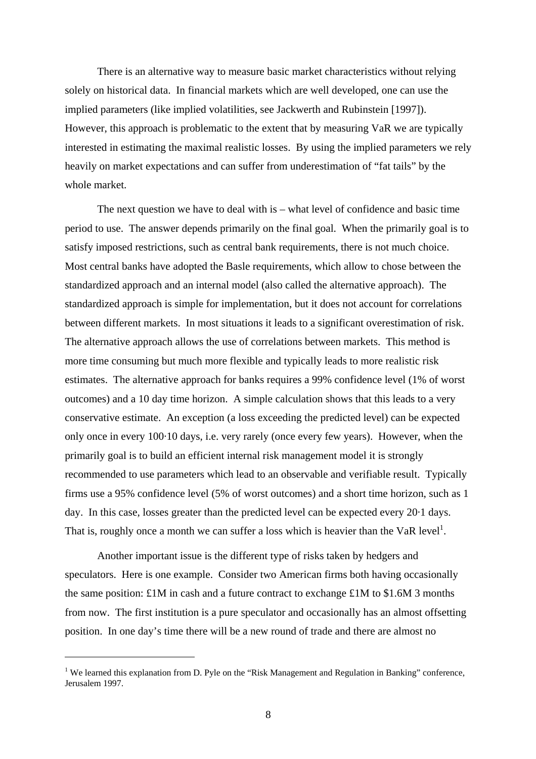There is an alternative way to measure basic market characteristics without relying solely on historical data. In financial markets which are well developed, one can use the implied parameters (like implied volatilities, see Jackwerth and Rubinstein [1997]). However, this approach is problematic to the extent that by measuring VaR we are typically interested in estimating the maximal realistic losses. By using the implied parameters we rely heavily on market expectations and can suffer from underestimation of "fat tails" by the whole market.

The next question we have to deal with is – what level of confidence and basic time period to use. The answer depends primarily on the final goal. When the primarily goal is to satisfy imposed restrictions, such as central bank requirements, there is not much choice. Most central banks have adopted the Basle requirements, which allow to chose between the standardized approach and an internal model (also called the alternative approach). The standardized approach is simple for implementation, but it does not account for correlations between different markets. In most situations it leads to a significant overestimation of risk. The alternative approach allows the use of correlations between markets. This method is more time consuming but much more flexible and typically leads to more realistic risk estimates. The alternative approach for banks requires a 99% confidence level (1% of worst outcomes) and a 10 day time horizon. A simple calculation shows that this leads to a very conservative estimate. An exception (a loss exceeding the predicted level) can be expected only once in every 100·10 days, i.e. very rarely (once every few years). However, when the primarily goal is to build an efficient internal risk management model it is strongly recommended to use parameters which lead to an observable and verifiable result. Typically firms use a 95% confidence level (5% of worst outcomes) and a short time horizon, such as 1 day. In this case, losses greater than the predicted level can be expected every 20·1 days. That is, roughly once a month we can suffer a loss which is heavier than the VaR level<sup>1</sup>.

Another important issue is the different type of risks taken by hedgers and speculators. Here is one example. Consider two American firms both having occasionally the same position: £1M in cash and a future contract to exchange £1M to \$1.6M 3 months from now. The first institution is a pure speculator and occasionally has an almost offsetting position. In one day's time there will be a new round of trade and there are almost no

 $\overline{a}$ 

<sup>&</sup>lt;sup>1</sup> We learned this explanation from D. Pyle on the "Risk Management and Regulation in Banking" conference, Jerusalem 1997.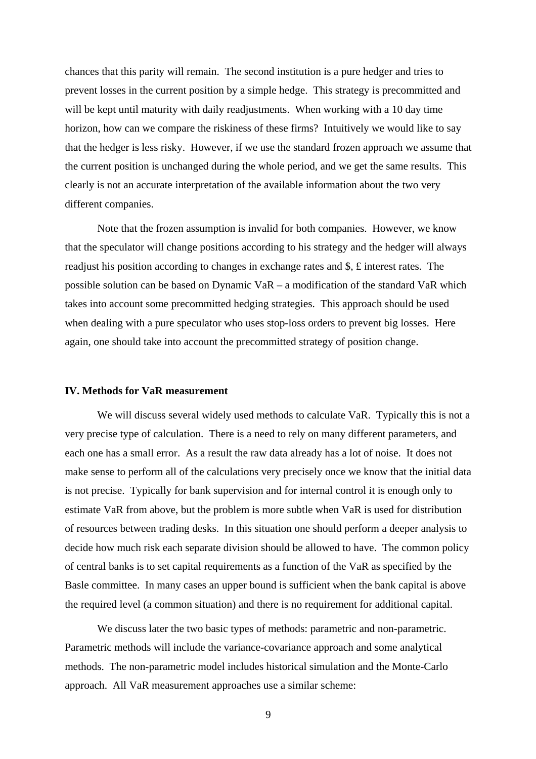chances that this parity will remain. The second institution is a pure hedger and tries to prevent losses in the current position by a simple hedge. This strategy is precommitted and will be kept until maturity with daily readjustments. When working with a 10 day time horizon, how can we compare the riskiness of these firms? Intuitively we would like to say that the hedger is less risky. However, if we use the standard frozen approach we assume that the current position is unchanged during the whole period, and we get the same results. This clearly is not an accurate interpretation of the available information about the two very different companies.

Note that the frozen assumption is invalid for both companies. However, we know that the speculator will change positions according to his strategy and the hedger will always readjust his position according to changes in exchange rates and \$, £ interest rates. The possible solution can be based on Dynamic VaR – a modification of the standard VaR which takes into account some precommitted hedging strategies. This approach should be used when dealing with a pure speculator who uses stop-loss orders to prevent big losses. Here again, one should take into account the precommitted strategy of position change.

## **IV. Methods for VaR measurement**

We will discuss several widely used methods to calculate VaR. Typically this is not a very precise type of calculation. There is a need to rely on many different parameters, and each one has a small error. As a result the raw data already has a lot of noise. It does not make sense to perform all of the calculations very precisely once we know that the initial data is not precise. Typically for bank supervision and for internal control it is enough only to estimate VaR from above, but the problem is more subtle when VaR is used for distribution of resources between trading desks. In this situation one should perform a deeper analysis to decide how much risk each separate division should be allowed to have. The common policy of central banks is to set capital requirements as a function of the VaR as specified by the Basle committee. In many cases an upper bound is sufficient when the bank capital is above the required level (a common situation) and there is no requirement for additional capital.

We discuss later the two basic types of methods: parametric and non-parametric. Parametric methods will include the variance-covariance approach and some analytical methods. The non-parametric model includes historical simulation and the Monte-Carlo approach. All VaR measurement approaches use a similar scheme: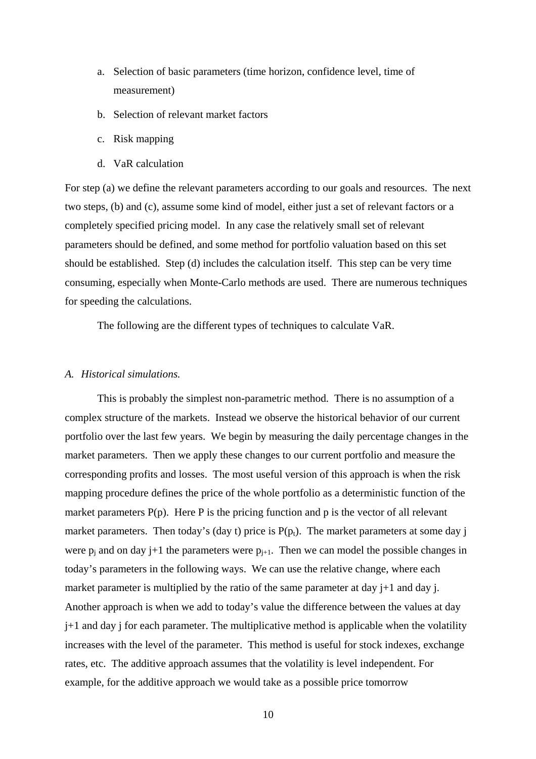- a. Selection of basic parameters (time horizon, confidence level, time of measurement)
- b. Selection of relevant market factors
- c. Risk mapping
- d. VaR calculation

For step (a) we define the relevant parameters according to our goals and resources. The next two steps, (b) and (c), assume some kind of model, either just a set of relevant factors or a completely specified pricing model. In any case the relatively small set of relevant parameters should be defined, and some method for portfolio valuation based on this set should be established. Step (d) includes the calculation itself. This step can be very time consuming, especially when Monte-Carlo methods are used. There are numerous techniques for speeding the calculations.

The following are the different types of techniques to calculate VaR.

#### *A. Historical simulations.*

This is probably the simplest non-parametric method. There is no assumption of a complex structure of the markets. Instead we observe the historical behavior of our current portfolio over the last few years. We begin by measuring the daily percentage changes in the market parameters. Then we apply these changes to our current portfolio and measure the corresponding profits and losses. The most useful version of this approach is when the risk mapping procedure defines the price of the whole portfolio as a deterministic function of the market parameters  $P(p)$ . Here P is the pricing function and p is the vector of all relevant market parameters. Then today's (day t) price is  $P(p_t)$ . The market parameters at some day j were  $p_i$  and on day j+1 the parameters were  $p_{i+1}$ . Then we can model the possible changes in today's parameters in the following ways. We can use the relative change, where each market parameter is multiplied by the ratio of the same parameter at day  $j+1$  and day  $j$ . Another approach is when we add to today's value the difference between the values at day j+1 and day j for each parameter. The multiplicative method is applicable when the volatility increases with the level of the parameter. This method is useful for stock indexes, exchange rates, etc. The additive approach assumes that the volatility is level independent. For example, for the additive approach we would take as a possible price tomorrow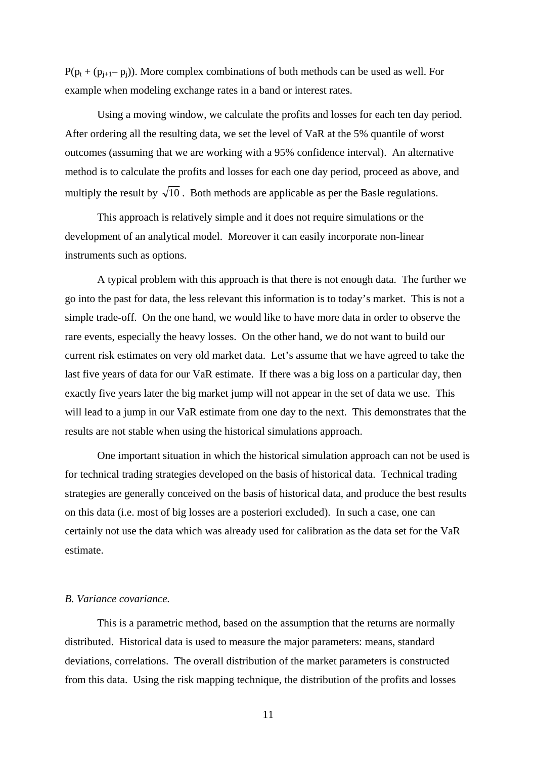$P(p_t + (p_{i+1}-p_i))$ . More complex combinations of both methods can be used as well. For example when modeling exchange rates in a band or interest rates.

Using a moving window, we calculate the profits and losses for each ten day period. After ordering all the resulting data, we set the level of VaR at the 5% quantile of worst outcomes (assuming that we are working with a 95% confidence interval). An alternative method is to calculate the profits and losses for each one day period, proceed as above, and multiply the result by  $\sqrt{10}$ . Both methods are applicable as per the Basle regulations.

This approach is relatively simple and it does not require simulations or the development of an analytical model. Moreover it can easily incorporate non-linear instruments such as options.

A typical problem with this approach is that there is not enough data. The further we go into the past for data, the less relevant this information is to today's market. This is not a simple trade-off. On the one hand, we would like to have more data in order to observe the rare events, especially the heavy losses. On the other hand, we do not want to build our current risk estimates on very old market data. Let's assume that we have agreed to take the last five years of data for our VaR estimate. If there was a big loss on a particular day, then exactly five years later the big market jump will not appear in the set of data we use. This will lead to a jump in our VaR estimate from one day to the next. This demonstrates that the results are not stable when using the historical simulations approach.

One important situation in which the historical simulation approach can not be used is for technical trading strategies developed on the basis of historical data. Technical trading strategies are generally conceived on the basis of historical data, and produce the best results on this data (i.e. most of big losses are a posteriori excluded). In such a case, one can certainly not use the data which was already used for calibration as the data set for the VaR estimate.

#### *B. Variance covariance.*

This is a parametric method, based on the assumption that the returns are normally distributed. Historical data is used to measure the major parameters: means, standard deviations, correlations. The overall distribution of the market parameters is constructed from this data. Using the risk mapping technique, the distribution of the profits and losses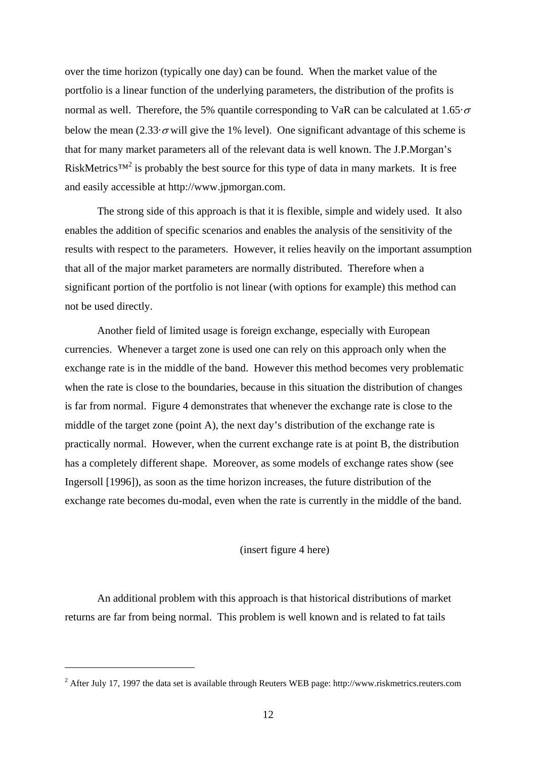over the time horizon (typically one day) can be found. When the market value of the portfolio is a linear function of the underlying parameters, the distribution of the profits is normal as well. Therefore, the 5% quantile corresponding to VaR can be calculated at  $1.65\sigma$ below the mean  $(2.33 \cdot \sigma$  will give the 1% level). One significant advantage of this scheme is that for many market parameters all of the relevant data is well known. The J.P.Morgan's RiskMetrics<sup>TM2</sup> is probably the best source for this type of data in many markets. It is free and easily accessible at http://www.jpmorgan.com.

The strong side of this approach is that it is flexible, simple and widely used. It also enables the addition of specific scenarios and enables the analysis of the sensitivity of the results with respect to the parameters. However, it relies heavily on the important assumption that all of the major market parameters are normally distributed. Therefore when a significant portion of the portfolio is not linear (with options for example) this method can not be used directly.

Another field of limited usage is foreign exchange, especially with European currencies. Whenever a target zone is used one can rely on this approach only when the exchange rate is in the middle of the band. However this method becomes very problematic when the rate is close to the boundaries, because in this situation the distribution of changes is far from normal. Figure 4 demonstrates that whenever the exchange rate is close to the middle of the target zone (point A), the next day's distribution of the exchange rate is practically normal. However, when the current exchange rate is at point B, the distribution has a completely different shape. Moreover, as some models of exchange rates show (see Ingersoll [1996]), as soon as the time horizon increases, the future distribution of the exchange rate becomes du-modal, even when the rate is currently in the middle of the band.

## (insert figure 4 here)

An additional problem with this approach is that historical distributions of market returns are far from being normal. This problem is well known and is related to fat tails

 $\overline{a}$ 

<sup>&</sup>lt;sup>2</sup> After July 17, 1997 the data set is available through Reuters WEB page: http://www.riskmetrics.reuters.com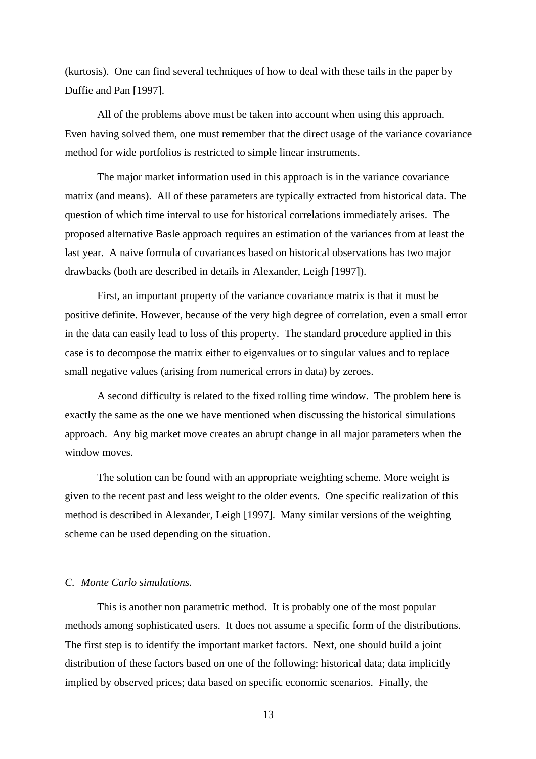(kurtosis). One can find several techniques of how to deal with these tails in the paper by Duffie and Pan [1997].

All of the problems above must be taken into account when using this approach. Even having solved them, one must remember that the direct usage of the variance covariance method for wide portfolios is restricted to simple linear instruments.

 The major market information used in this approach is in the variance covariance matrix (and means). All of these parameters are typically extracted from historical data. The question of which time interval to use for historical correlations immediately arises. The proposed alternative Basle approach requires an estimation of the variances from at least the last year. A naive formula of covariances based on historical observations has two major drawbacks (both are described in details in Alexander, Leigh [1997]).

First, an important property of the variance covariance matrix is that it must be positive definite. However, because of the very high degree of correlation, even a small error in the data can easily lead to loss of this property. The standard procedure applied in this case is to decompose the matrix either to eigenvalues or to singular values and to replace small negative values (arising from numerical errors in data) by zeroes.

 A second difficulty is related to the fixed rolling time window. The problem here is exactly the same as the one we have mentioned when discussing the historical simulations approach. Any big market move creates an abrupt change in all major parameters when the window moves.

 The solution can be found with an appropriate weighting scheme. More weight is given to the recent past and less weight to the older events. One specific realization of this method is described in Alexander, Leigh [1997]. Many similar versions of the weighting scheme can be used depending on the situation.

### *C. Monte Carlo simulations.*

This is another non parametric method. It is probably one of the most popular methods among sophisticated users. It does not assume a specific form of the distributions. The first step is to identify the important market factors. Next, one should build a joint distribution of these factors based on one of the following: historical data; data implicitly implied by observed prices; data based on specific economic scenarios. Finally, the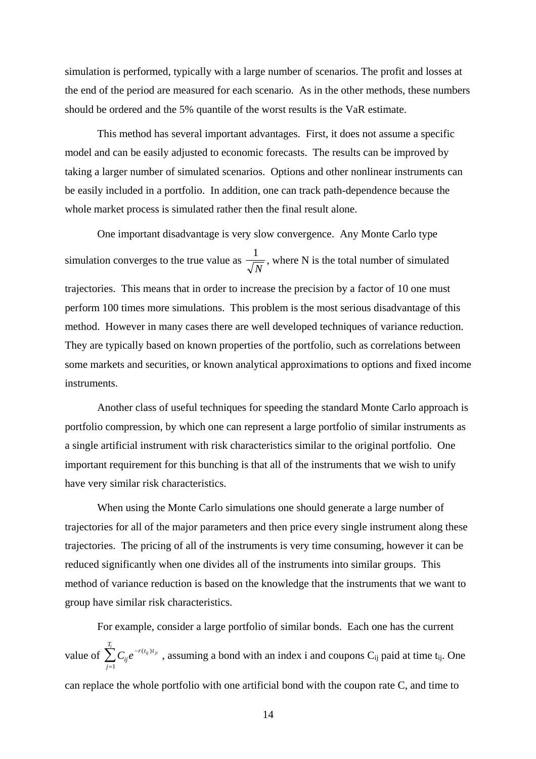simulation is performed, typically with a large number of scenarios. The profit and losses at the end of the period are measured for each scenario. As in the other methods, these numbers should be ordered and the 5% quantile of the worst results is the VaR estimate.

This method has several important advantages. First, it does not assume a specific model and can be easily adjusted to economic forecasts. The results can be improved by taking a larger number of simulated scenarios. Options and other nonlinear instruments can be easily included in a portfolio. In addition, one can track path-dependence because the whole market process is simulated rather then the final result alone.

One important disadvantage is very slow convergence. Any Monte Carlo type simulation converges to the true value as 1  $\frac{N}{N}$ , where N is the total number of simulated trajectories. This means that in order to increase the precision by a factor of 10 one must perform 100 times more simulations. This problem is the most serious disadvantage of this method. However in many cases there are well developed techniques of variance reduction. They are typically based on known properties of the portfolio, such as correlations between some markets and securities, or known analytical approximations to options and fixed income instruments.

Another class of useful techniques for speeding the standard Monte Carlo approach is portfolio compression, by which one can represent a large portfolio of similar instruments as a single artificial instrument with risk characteristics similar to the original portfolio. One important requirement for this bunching is that all of the instruments that we wish to unify have very similar risk characteristics.

When using the Monte Carlo simulations one should generate a large number of trajectories for all of the major parameters and then price every single instrument along these trajectories. The pricing of all of the instruments is very time consuming, however it can be reduced significantly when one divides all of the instruments into similar groups. This method of variance reduction is based on the knowledge that the instruments that we want to group have similar risk characteristics.

For example, consider a large portfolio of similar bonds. Each one has the current value of  $\sum C_{ij} e^{-r(t_{ij})t}$ *j T* <sup>*i*</sup>  $\int$ <sub>*c*</sub>  $e^{-r(t_{ij})t_{ji}}$  $\sum_{j=1}^{\cdot} C_{ij} e^{-r(t_{ij})}$ , assuming a bond with an index i and coupons  $C_{ij}$  paid at time  $t_{ij}$ . One can replace the whole portfolio with one artificial bond with the coupon rate C, and time to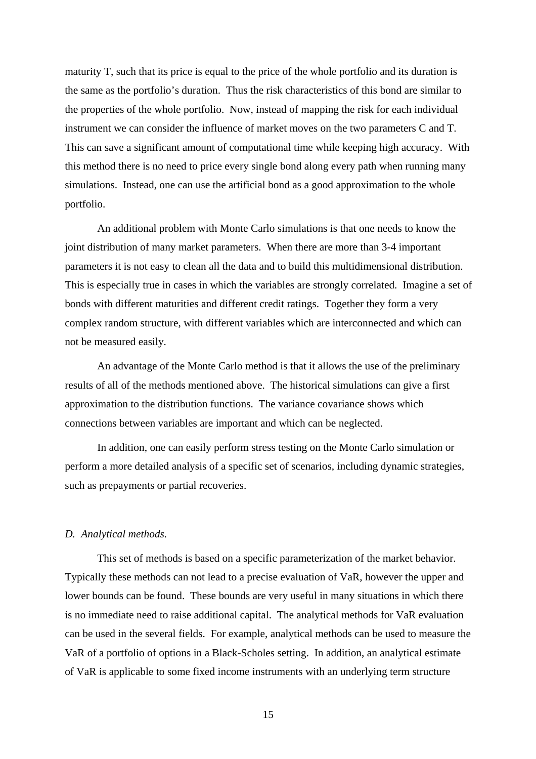maturity T, such that its price is equal to the price of the whole portfolio and its duration is the same as the portfolio's duration. Thus the risk characteristics of this bond are similar to the properties of the whole portfolio. Now, instead of mapping the risk for each individual instrument we can consider the influence of market moves on the two parameters C and T. This can save a significant amount of computational time while keeping high accuracy. With this method there is no need to price every single bond along every path when running many simulations. Instead, one can use the artificial bond as a good approximation to the whole portfolio.

An additional problem with Monte Carlo simulations is that one needs to know the joint distribution of many market parameters. When there are more than 3-4 important parameters it is not easy to clean all the data and to build this multidimensional distribution. This is especially true in cases in which the variables are strongly correlated. Imagine a set of bonds with different maturities and different credit ratings. Together they form a very complex random structure, with different variables which are interconnected and which can not be measured easily.

An advantage of the Monte Carlo method is that it allows the use of the preliminary results of all of the methods mentioned above. The historical simulations can give a first approximation to the distribution functions. The variance covariance shows which connections between variables are important and which can be neglected.

In addition, one can easily perform stress testing on the Monte Carlo simulation or perform a more detailed analysis of a specific set of scenarios, including dynamic strategies, such as prepayments or partial recoveries.

#### *D. Analytical methods.*

This set of methods is based on a specific parameterization of the market behavior. Typically these methods can not lead to a precise evaluation of VaR, however the upper and lower bounds can be found. These bounds are very useful in many situations in which there is no immediate need to raise additional capital. The analytical methods for VaR evaluation can be used in the several fields. For example, analytical methods can be used to measure the VaR of a portfolio of options in a Black-Scholes setting. In addition, an analytical estimate of VaR is applicable to some fixed income instruments with an underlying term structure

15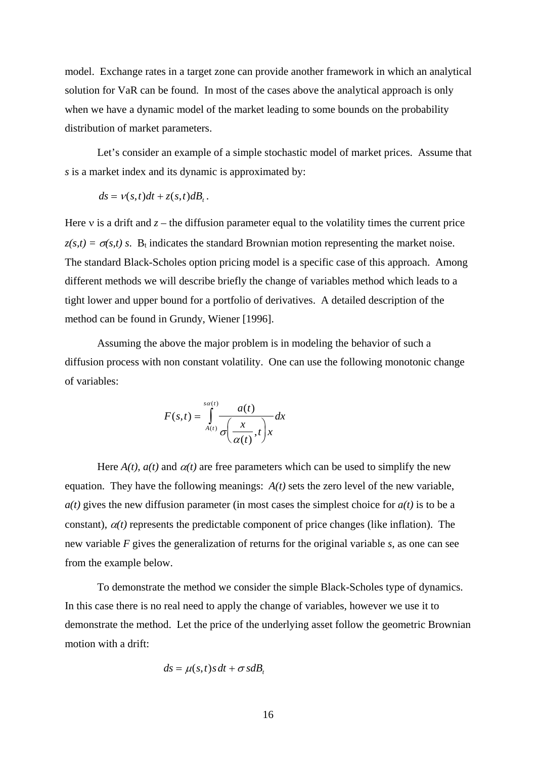model. Exchange rates in a target zone can provide another framework in which an analytical solution for VaR can be found. In most of the cases above the analytical approach is only when we have a dynamic model of the market leading to some bounds on the probability distribution of market parameters.

Let's consider an example of a simple stochastic model of market prices. Assume that *s* is a market index and its dynamic is approximated by:

$$
ds = v(s,t)dt + z(s,t)dB_t.
$$

Here v is a drift and  $z$  – the diffusion parameter equal to the volatility times the current price  $z(s,t) = \sigma(s,t)$  s. B<sub>t</sub> indicates the standard Brownian motion representing the market noise. The standard Black-Scholes option pricing model is a specific case of this approach. Among different methods we will describe briefly the change of variables method which leads to a tight lower and upper bound for a portfolio of derivatives. A detailed description of the method can be found in Grundy, Wiener [1996].

Assuming the above the major problem is in modeling the behavior of such a diffusion process with non constant volatility. One can use the following monotonic change of variables:

$$
F(s,t) = \int_{A(t)}^{s\alpha(t)} \frac{a(t)}{\sigma\left(\frac{x}{\alpha(t)},t\right)x} dx
$$

Here  $A(t)$ ,  $a(t)$  and  $\alpha(t)$  are free parameters which can be used to simplify the new equation. They have the following meanings: *A(t)* sets the zero level of the new variable,  $a(t)$  gives the new diffusion parameter (in most cases the simplest choice for  $a(t)$  is to be a constant),  $\alpha(t)$  represents the predictable component of price changes (like inflation). The new variable *F* gives the generalization of returns for the original variable *s*, as one can see from the example below.

 To demonstrate the method we consider the simple Black-Scholes type of dynamics. In this case there is no real need to apply the change of variables, however we use it to demonstrate the method. Let the price of the underlying asset follow the geometric Brownian motion with a drift:

$$
ds = \mu(s, t) s dt + \sigma s dB_t
$$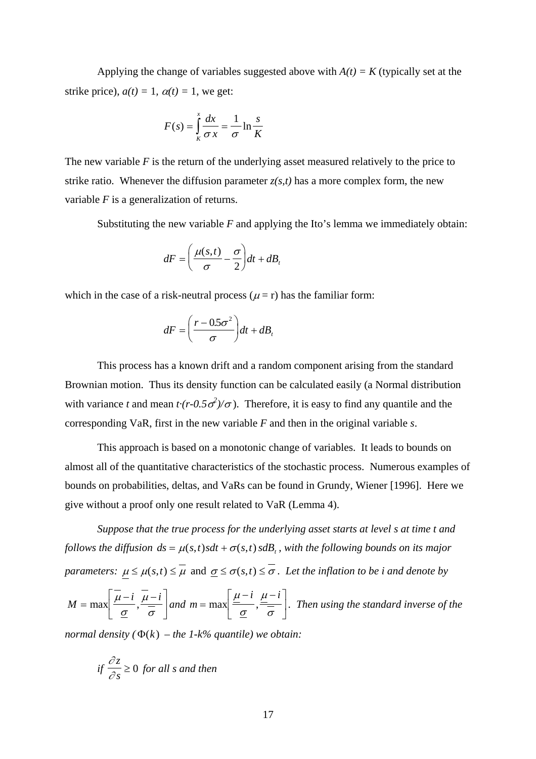Applying the change of variables suggested above with  $A(t) = K$  (typically set at the strike price),  $a(t) = 1$ ,  $\alpha(t) = 1$ , we get:

$$
F(s) = \int_{K}^{x} \frac{dx}{\sigma x} = \frac{1}{\sigma} \ln \frac{s}{K}
$$

The new variable *F* is the return of the underlying asset measured relatively to the price to strike ratio. Whenever the diffusion parameter  $z(s,t)$  has a more complex form, the new variable *F* is a generalization of returns.

Substituting the new variable *F* and applying the Ito's lemma we immediately obtain:

$$
dF = \left(\frac{\mu(s,t)}{\sigma} - \frac{\sigma}{2}\right)dt + dB_t
$$

which in the case of a risk-neutral process  $(\mu = r)$  has the familiar form:

$$
dF = \left(\frac{r - 0.5\sigma^2}{\sigma}\right)dt + dB_t
$$

 This process has a known drift and a random component arising from the standard Brownian motion. Thus its density function can be calculated easily (a Normal distribution with variance *t* and mean  $t \cdot (r - 0.5\sigma^2)/\sigma$ . Therefore, it is easy to find any quantile and the corresponding VaR, first in the new variable *F* and then in the original variable *s*.

 This approach is based on a monotonic change of variables. It leads to bounds on almost all of the quantitative characteristics of the stochastic process. Numerous examples of bounds on probabilities, deltas, and VaRs can be found in Grundy, Wiener [1996]. Here we give without a proof only one result related to VaR (Lemma 4).

*Suppose that the true process for the underlying asset starts at level s at time t and follows the diffusion*  $ds = \mu(s,t) sdt + \sigma(s,t) sdB_t$ *, with the following bounds on its major parameters:*  $\mu \leq \mu(s,t) \leq \overline{\mu}$  and  $\underline{\sigma} \leq \sigma(s,t) \leq \overline{\sigma}$ . Let the inflation to be i and denote by

$$
M = \max\left[\frac{\overline{\mu} - i}{\underline{\sigma}}, \frac{\overline{\mu} - i}{\overline{\sigma}}\right] \text{ and } m = \max\left[\frac{\underline{\mu} - i}{\underline{\sigma}}, \frac{\underline{\mu} - i}{\overline{\sigma}}\right]. \text{ Then using the standard inverse of the}
$$

*normal density* ( $\Phi(k)$  – *the 1-k% quantile)* we obtain:

$$
if \frac{\partial z}{\partial s} \ge 0 \text{ for all } s \text{ and then}
$$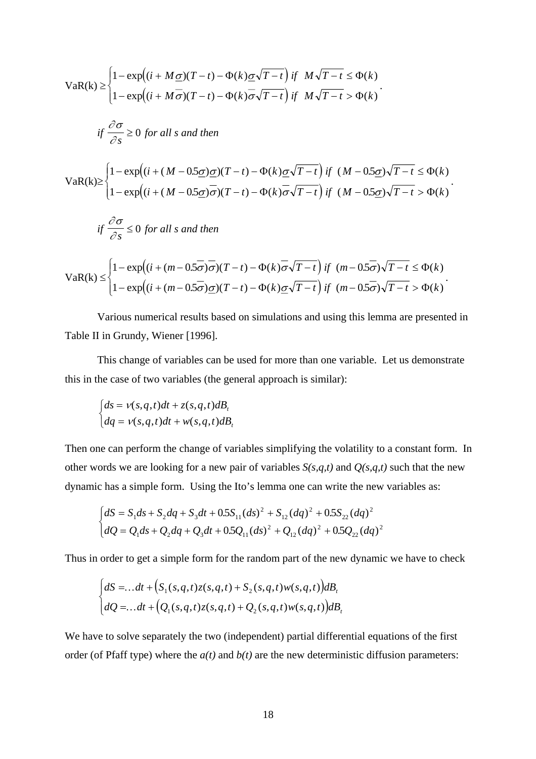$$
\text{VaR}(k) \ge \begin{cases} 1 - \exp\left((i + M\underline{\sigma})(T - t) - \Phi(k)\underline{\sigma}\sqrt{T - t}\right) \text{ if } M\sqrt{T - t} \le \Phi(k) \\ 1 - \exp\left((i + M\overline{\sigma})(T - t) - \Phi(k)\overline{\sigma}\sqrt{T - t}\right) \text{ if } M\sqrt{T - t} > \Phi(k) \end{cases}
$$
  
if  $\frac{\partial \sigma}{\partial s} \ge 0$  for all *s* and then  

$$
\text{VaR}(k) \ge \begin{cases} 1 - \exp\left((i + (M - 0.5\underline{\sigma})\underline{\sigma})(T - t) - \Phi(k)\underline{\sigma}\sqrt{T - t}\right) \text{ if } (M - 0.5\underline{\sigma})\sqrt{T - t} \le \Phi(k) \\ 1 - \exp\left((i + (M - 0.5\underline{\sigma})\overline{\sigma})(T - t) - \Phi(k)\overline{\sigma}\sqrt{T - t}\right) \text{ if } (M - 0.5\underline{\sigma})\sqrt{T - t} > \Phi(k) \end{cases}
$$
  
if  $\frac{\partial \sigma}{\partial s} \le 0$  for all *s* and then

$$
\text{VaR}(k) \leq \begin{cases} 1 - \exp\left((i + (m - 0.5\overline{\sigma})\overline{\sigma})(T - t) - \Phi(k)\overline{\sigma}\sqrt{T - t}\right) \text{ if } (m - 0.5\overline{\sigma})\sqrt{T - t} \leq \Phi(k) \\ 1 - \exp\left((i + (m - 0.5\overline{\sigma})\underline{\sigma})(T - t) - \Phi(k)\underline{\sigma}\sqrt{T - t}\right) \text{ if } (m - 0.5\overline{\sigma})\sqrt{T - t} > \Phi(k) \end{cases}.
$$

Various numerical results based on simulations and using this lemma are presented in Table II in Grundy, Wiener [1996].

This change of variables can be used for more than one variable. Let us demonstrate this in the case of two variables (the general approach is similar):

$$
\begin{cases} ds = v(s,q,t)dt + z(s,q,t)dB_t \\ dq = v(s,q,t)dt + w(s,q,t)dB_t \end{cases}
$$

Then one can perform the change of variables simplifying the volatility to a constant form. In other words we are looking for a new pair of variables *S(s,q,t)* and *Q(s,q,t)* such that the new dynamic has a simple form. Using the Ito's lemma one can write the new variables as:

$$
\begin{cases} dS = S_1 ds + S_2 dq + S_3 dt + 0.5 S_{11} (ds)^2 + S_{12} (dq)^2 + 0.5 S_{22} (dq)^2 \\ dQ = Q_1 ds + Q_2 dq + Q_3 dt + 0.5 Q_{11} (ds)^2 + Q_{12} (dq)^2 + 0.5 Q_{22} (dq)^2 \end{cases}
$$

Thus in order to get a simple form for the random part of the new dynamic we have to check

$$
\begin{cases} dS = ...dt + (S_1(s,q,t)z(s,q,t) + S_2(s,q,t)w(s,q,t))dB_t \\ dQ = ...dt + (Q_1(s,q,t)z(s,q,t) + Q_2(s,q,t)w(s,q,t))dB_t \end{cases}
$$

We have to solve separately the two (independent) partial differential equations of the first order (of Pfaff type) where the *a(t)* and *b(t)* are the new deterministic diffusion parameters: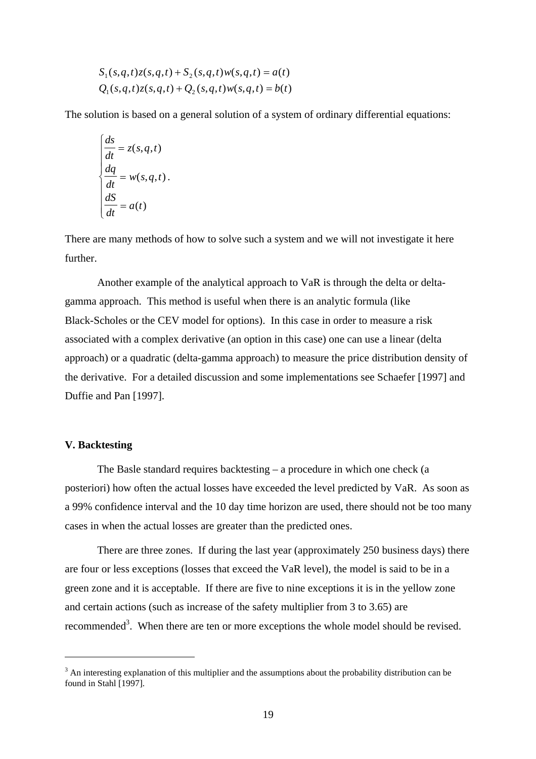$$
S_1(s,q,t)z(s,q,t) + S_2(s,q,t)w(s,q,t) = a(t)
$$
  
 
$$
Q_1(s,q,t)z(s,q,t) + Q_2(s,q,t)w(s,q,t) = b(t)
$$

The solution is based on a general solution of a system of ordinary differential equations:

$$
\begin{cases}\n\frac{ds}{dt} = z(s, q, t) \\
\frac{dq}{dt} = w(s, q, t) \\
\frac{dS}{dt} = a(t)\n\end{cases}
$$

There are many methods of how to solve such a system and we will not investigate it here further.

Another example of the analytical approach to VaR is through the delta or deltagamma approach. This method is useful when there is an analytic formula (like Black-Scholes or the CEV model for options). In this case in order to measure a risk associated with a complex derivative (an option in this case) one can use a linear (delta approach) or a quadratic (delta-gamma approach) to measure the price distribution density of the derivative. For a detailed discussion and some implementations see Schaefer [1997] and Duffie and Pan [1997].

#### **V. Backtesting**

 $\overline{a}$ 

The Basle standard requires backtesting  $-$  a procedure in which one check (a posteriori) how often the actual losses have exceeded the level predicted by VaR. As soon as a 99% confidence interval and the 10 day time horizon are used, there should not be too many cases in when the actual losses are greater than the predicted ones.

There are three zones. If during the last year (approximately 250 business days) there are four or less exceptions (losses that exceed the VaR level), the model is said to be in a green zone and it is acceptable. If there are five to nine exceptions it is in the yellow zone and certain actions (such as increase of the safety multiplier from 3 to 3.65) are recommended<sup>3</sup>. When there are ten or more exceptions the whole model should be revised.

 $3$  An interesting explanation of this multiplier and the assumptions about the probability distribution can be found in Stahl [1997].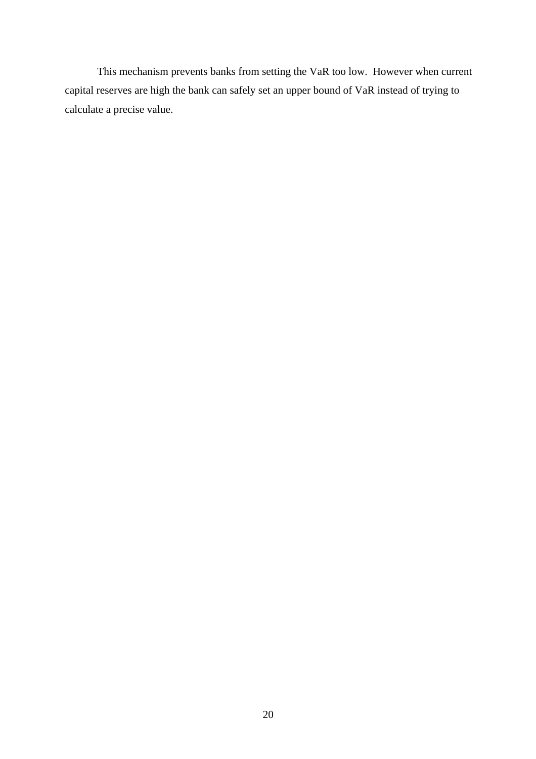This mechanism prevents banks from setting the VaR too low. However when current capital reserves are high the bank can safely set an upper bound of VaR instead of trying to calculate a precise value.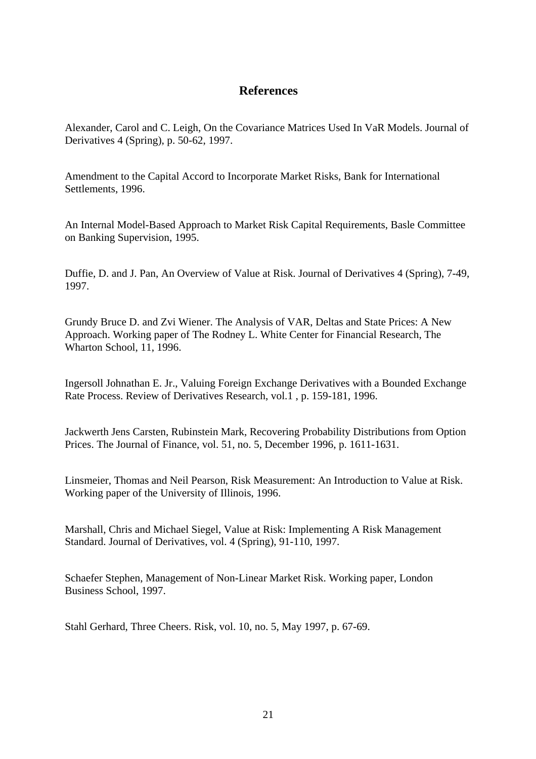# **References**

Alexander, Carol and C. Leigh, On the Covariance Matrices Used In VaR Models. Journal of Derivatives 4 (Spring), p. 50-62, 1997.

Amendment to the Capital Accord to Incorporate Market Risks, Bank for International Settlements, 1996.

An Internal Model-Based Approach to Market Risk Capital Requirements, Basle Committee on Banking Supervision, 1995.

Duffie, D. and J. Pan, An Overview of Value at Risk. Journal of Derivatives 4 (Spring), 7-49, 1997.

Grundy Bruce D. and Zvi Wiener. The Analysis of VAR, Deltas and State Prices: A New Approach. Working paper of The Rodney L. White Center for Financial Research, The Wharton School, 11, 1996.

Ingersoll Johnathan E. Jr., Valuing Foreign Exchange Derivatives with a Bounded Exchange Rate Process. Review of Derivatives Research, vol.1 , p. 159-181, 1996.

Jackwerth Jens Carsten, Rubinstein Mark, Recovering Probability Distributions from Option Prices. The Journal of Finance, vol. 51, no. 5, December 1996, p. 1611-1631.

Linsmeier, Thomas and Neil Pearson, Risk Measurement: An Introduction to Value at Risk. Working paper of the University of Illinois, 1996.

Marshall, Chris and Michael Siegel, Value at Risk: Implementing A Risk Management Standard. Journal of Derivatives, vol. 4 (Spring), 91-110, 1997.

Schaefer Stephen, Management of Non-Linear Market Risk. Working paper, London Business School, 1997.

Stahl Gerhard, Three Cheers. Risk, vol. 10, no. 5, May 1997, p. 67-69.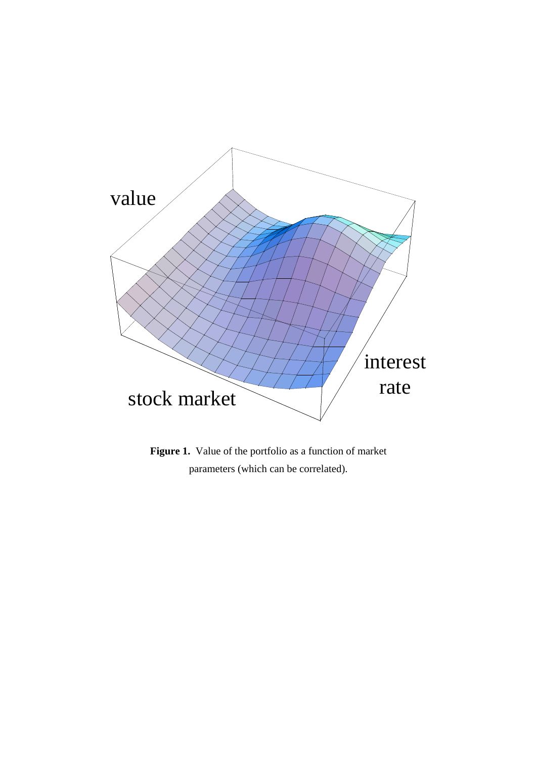

Figure 1. Value of the portfolio as a function of market parameters (which can be correlated).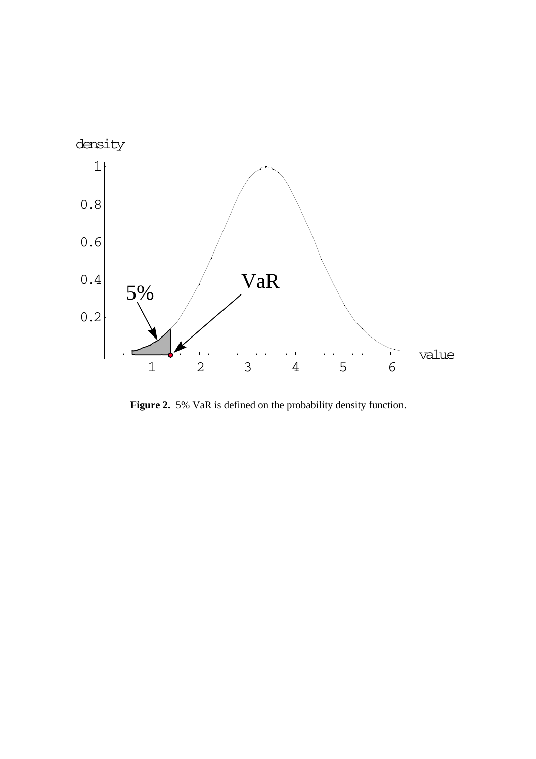

Figure 2. 5% VaR is defined on the probability density function.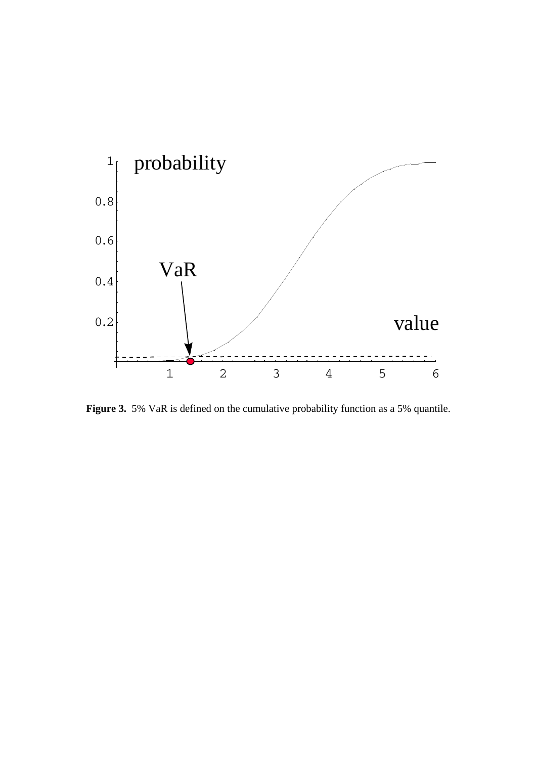

Figure 3. 5% VaR is defined on the cumulative probability function as a 5% quantile.